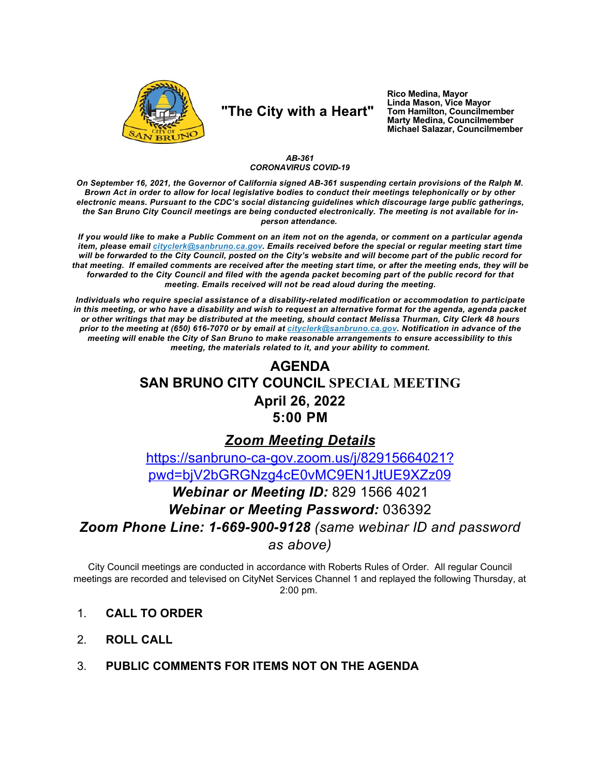

# "The City with a Heart"

Rico Medina, Mayor<br>Linda Mason, Vice Mayor Tom Hamilton, Councilmember<br>Marty Medina, Councilmember Michael Salazar, Councilmember

### AB-361 **CORONAVIRUS COVID-19**

On September 16, 2021, the Governor of California signed AB-361 suspending certain provisions of the Ralph M. Brown Act in order to allow for local legislative bodies to conduct their meetings telephonically or by other electronic means. Pursuant to the CDC's social distancing guidelines which discourage large public gatherings, the San Bruno City Council meetings are being conducted electronically. The meeting is not available for inperson attendance.

If you would like to make a Public Comment on an item not on the agenda, or comment on a particular agenda item, please email cityclerk@sanbruno.ca.gov. Emails received before the special or regular meeting start time will be forwarded to the City Council, posted on the City's website and will become part of the public record for that meeting. If emailed comments are received after the meeting start time, or after the meeting ends, they will be forwarded to the City Council and filed with the agenda packet becoming part of the public record for that meeting. Emails received will not be read aloud during the meeting.

Individuals who require special assistance of a disability-related modification or accommodation to participate in this meeting, or who have a disability and wish to request an alternative format for the agenda, agenda packet or other writings that may be distributed at the meeting, should contact Melissa Thurman, City Clerk 48 hours prior to the meeting at (650) 616-7070 or by email at cityclerk@sanbruno.ca.gov. Notification in advance of the meeting will enable the City of San Bruno to make reasonable arrangements to ensure accessibility to this meeting, the materials related to it, and your ability to comment.

# **AGENDA SAN BRUNO CITY COUNCIL SPECIAL MEETING April 26, 2022** 5:00 PM

## **Zoom Meeting Details**

https://sanbruno-ca-gov.zoom.us/j/82915664021? pwd=bjV2bGRGNzq4cE0vMC9EN1JtUE9XZz09

# Webinar or Meeting ID: 829 1566 4021 Webinar or Meeting Password: 036392 Zoom Phone Line: 1-669-900-9128 (same webinar ID and password as above)

City Council meetings are conducted in accordance with Roberts Rules of Order. All regular Council meetings are recorded and televised on CityNet Services Channel 1 and replayed the following Thursday, at  $2:00$  pm.

- $1<sub>1</sub>$ **CALL TO ORDER**
- $\mathcal{P}$ **ROLL CALL**
- PUBLIC COMMENTS FOR ITEMS NOT ON THE AGENDA  $3_{-}$